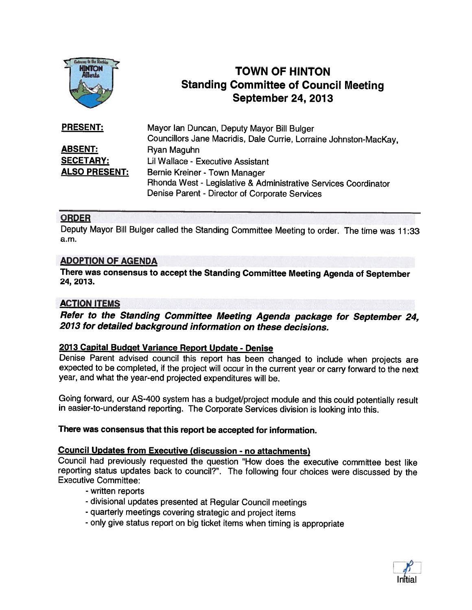

# TOWN OF HINTON Standing Committee of Council Meeting September 24, 2013

| <b>PRESENT:</b>      | Mayor Ian Duncan, Deputy Mayor Bill Bulger                        |
|----------------------|-------------------------------------------------------------------|
|                      | Councillors Jane Macridis, Dale Currie, Lorraine Johnston-MacKay, |
| <u>ABSENT:</u>       | Ryan Maguhn                                                       |
| <b>SECETARY:</b>     | Lil Wallace - Executive Assistant                                 |
| <b>ALSO PRESENT:</b> | Bernie Kreiner - Town Manager                                     |
|                      | Rhonda West - Legislative & Administrative Services Coordinator   |
|                      | Denise Parent - Director of Corporate Services                    |

## ORDER

Deputy Mayor Bill Bulger called the Standing Committee Meeting to order. The time was 11:33 a.m.

## ADOPTION OF AGENDA

There was consensus to accept the Standing Committee Meeting Agenda of September 24, 2013.

## ACTION ITEMS

Refer to the Standing Committee Meeting Agenda package for September 24, 2013 for detailed background information on these decisions.

#### 2013 Capital Budget Variance Report Update - Denise

Denise Parent advised council this report has been changed to include when projects are expected to be completed, if the project will occur in the current year or carry forward to the next year, and what the year-end projected expenditures will be.

Going forward, our AS-400 system has a budget/project module and this could potentially result in easier-to-understand reporting. The Corporate Services division is looking into this.

#### There was consensus that this report be accepted for information.

## Council Updates from Executive (discussion - no attachments)

Council had previously requested the question "How does the executive committee best like reporting status updates back to council?". The following four choices were discussed by the Executive Committee:

- written reports
- divisional updates presented at Regular Council meetings
- quarterly meetings covering strategic and project items
- only <sup>g</sup>ive status report on big ticket items when timing is appropriate

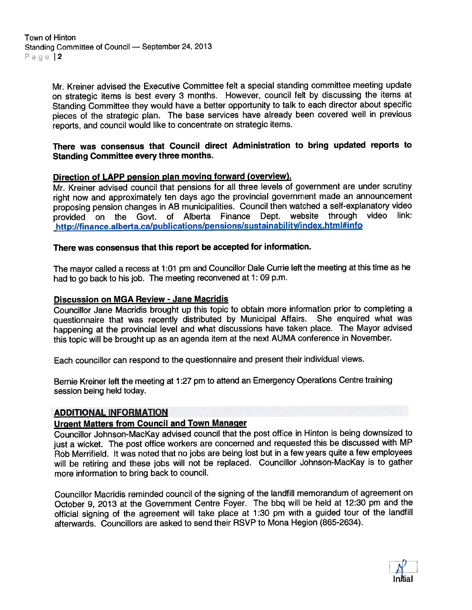Mr. Kreiner advised the Executive Committee felt <sup>a</sup> special standing committee meeting update on strategic items is best every <sup>3</sup> months. However, council felt by discussing the items at Standing Committee they would have <sup>a</sup> better opportunity to talk to each director about specific <sup>p</sup>ieces of the strategic <sup>p</sup>lan. The base services have already been covered well in previous reports, and council would like to concentrate on strategic items.

#### There was consensus that Council direct Administration to bring updated reports to Standing Committee every three months.

## Direction of LAPP pension <sup>p</sup>lan moving forward (overview).

Mr. Kreiner advised council that pensions for all three levels of governmen<sup>t</sup> are under scrutiny right now and approximately ten days ago the provincial governmen<sup>t</sup> made an announcement proposing pension changes in AB municipalities. Council then watched a self-explanatory video<br>provided on the Govt. of Alberta Finance Dept. website through video link: http://finance.alberta.ca/publications/pensions/sustainability/index.html#info

## There was consensus that this repor<sup>t</sup> be accepted for information.

The mayor called <sup>a</sup> recess at 1:01 pm and Councillor Dale Currie left the meeting at this time as he had to go back to his job. The meeting reconvened at 1: 09 p.m.

#### Discussion on MGA Review - Jane Macridis

Councillor Jane Macridis brought up this topic to obtain more information prior to completing <sup>a</sup> questionnaire that was recently distributed by Municipal Affairs. She enquired what was happening at the provincial level and what discussions have taken <sup>p</sup>lace. The Mayor advised this topic will be brought up as an agenda item at the next AUMA conference in November.

Each councillor can respon<sup>d</sup> to the questionnaire and presen<sup>t</sup> their individual views.

Bernie Kreiner left the meeting at 1:27 pm to attend an Emergency Operations Centre training session being held today.

#### ADDITIONAL INFORMATION

#### Urgent Matters from Council and Town Manager

Councillor Johnson-Mackay advised council that the pos<sup>t</sup> office in Hinton is being downsized to just <sup>a</sup> wicket. The pos<sup>t</sup> office workers are concerned and requested this be discussed with MP Rob Merrifield. It was noted that no jobs are being lost but in <sup>a</sup> few years quite <sup>a</sup> few employees will be retiring and these jobs will not be replaced. Councillor Johnson-Mackay is to gather more information to bring back to council.

Councillor Macridis reminded council of the signing of the landfill memorandum of agreemen<sup>t</sup> on October 9, <sup>2013</sup> at the Government Centre Foyer. The bbq will be held at 12:30 pm and the official signing of the agreemen<sup>t</sup> will take <sup>p</sup>lace at 1:30 pm with <sup>a</sup> guided tour of the landfill afterwards. Councillors are asked to send their RSVP to Mona Hegion (865-2634).

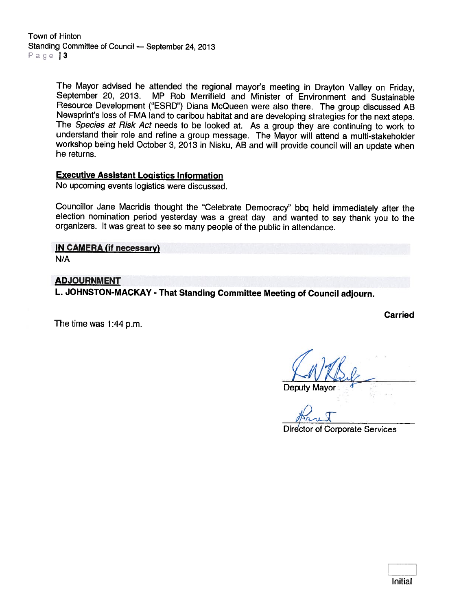Town of Hinton Standing Committee of Council — September 24, 2013 Page 13

> The Mayor advised he attended the regional mayor's meeting in Drayton Valley on Friday, September 20, 2013. MP Rob Merrifield and Minister of Environment and Sustainable Resource Development ("ESRD") Diana McQueen were also there. The group discussed AB<br>Newsprint's loss of FMA land to caribou habitat and are developing strategies for the next steps. The Species at Risk Act needs to be looked at. As a group they are continuing to work to understand their role and refine <sup>a</sup> group message. The Mayor will attend <sup>a</sup> multi-stakeholder workshop being held October 3, <sup>2013</sup> in Nisku, AB and will provide council will an update when he returns.

#### Executive Assistant Logistics Information

No upcoming events logistics were discussed.

Councillor Jane Macridis thought the "Celebrate Democracy" bbq held immediately after the election nomination period yesterday was a great day and wanted to say thank you to the organizers. It was great to see so many peop

IN CAMERA (if necessary)

N/A

#### ADJOURNMENT

L. JOHNSTON-MACKAY - That Standing Committee Meeting of Council adjourn.

The time was 1:44 p.m.

Carried

Deputy Mayor

Director of Corporate Services